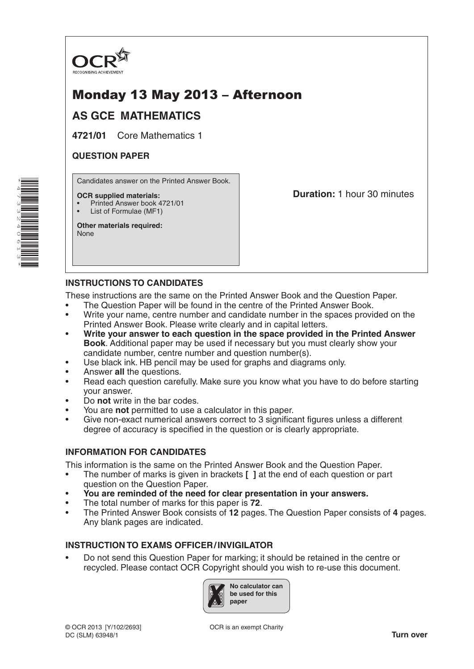

# Monday 13 May 2013 – Afternoon

## **AS GCE MATHEMATICS**

**4721/01** Core Mathematics 1

### **QUESTION PAPER**

\*4 $\overline{\phantom{a}}$ W ω N 4061ω \* Candidates answer on the Printed Answer Book.

#### **OCR supplied materials:**

- Printed Answer book 4721/01
- List of Formulae (MF1)

**Other materials required:** None

**Duration:** 1 hour 30 minutes

## **INSTRUCTIONS TO CANDIDATES**

These instructions are the same on the Printed Answer Book and the Question Paper.

- The Question Paper will be found in the centre of the Printed Answer Book.
- Write your name, centre number and candidate number in the spaces provided on the Printed Answer Book. Please write clearly and in capital letters.
- **Write your answer to each question in the space provided in the Printed Answer Book**. Additional paper may be used if necessary but you must clearly show your candidate number, centre number and question number(s).
- Use black ink. HB pencil may be used for graphs and diagrams only.
- Answer **all** the questions.
- Read each question carefully. Make sure you know what you have to do before starting your answer.
- Do **not** write in the bar codes.
- You are **not** permitted to use a calculator in this paper.
- Give non-exact numerical answers correct to 3 significant figures unless a different degree of accuracy is specified in the question or is clearly appropriate.

#### **INFORMATION FOR CANDIDATES**

This information is the same on the Printed Answer Book and the Question Paper.

- The number of marks is given in brackets **[ ]** at the end of each question or part question on the Question Paper.
- **You are reminded of the need for clear presentation in your answers.**
- The total number of marks for this paper is **72**.
- The Printed Answer Book consists of **12** pages. The Question Paper consists of **4** pages. Any blank pages are indicated.

#### **INSTRUCTION TO EXAMS OFFICER/INVIGILATOR**

• Do not send this Question Paper for marking; it should be retained in the centre or recycled. Please contact OCR Copyright should you wish to re-use this document.

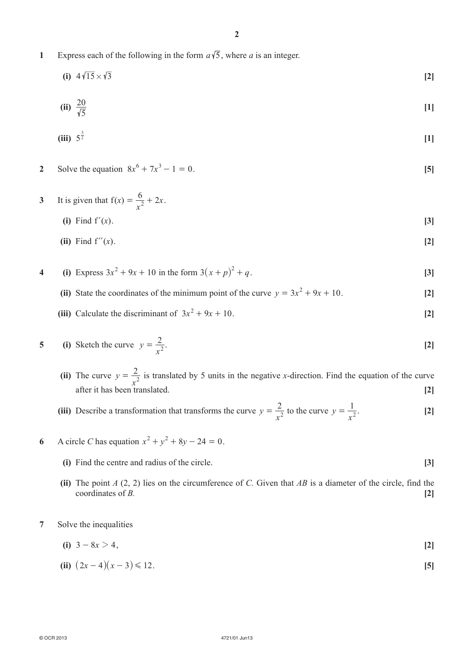**1** Express each of the following in the form  $a\sqrt{5}$ , where *a* is an integer.

$$
(i) \quad 4\sqrt{15} \times \sqrt{3} \tag{2}
$$

(ii) 
$$
\frac{20}{\sqrt{5}}
$$
 [1]

(iii) 
$$
5^{\frac{3}{2}}
$$
 [1]

- **2** Solve the equation  $8x^6 + 7x^3 1 = 0$ . [5]
- **3** It is given that  $f(x)$ *x*  $=\frac{6}{x^2}+2x$ . **(i)** Find f'(x).  $[3]$ 
	- **(ii)** Find  $f''(x)$ . **[2]**
- **4** (i) Express  $3x^2 + 9x + 10$  in the form  $3(x+p)^2 + q$ . [3]
	- **(ii)** State the coordinates of the minimum point of the curve  $y = 3x^2 + 9x + 10$ . [2]
	- (iii) Calculate the discriminant of  $3x^2 + 9x + 10$ . [2]

5 (i) Sketch the curve 
$$
y = \frac{2}{x^2}
$$
. [2]

- **(ii)**  The curve *y*  $=\frac{2}{x^2}$  is translated by 5 units in the negative *x*-direction. Find the equation of the curve after it has been translated. **[2]**
- **(iii)** Describe a transformation that transforms the curve *y*  $=\frac{2}{x^2}$  to the curve  $y = \frac{1}{x^2}$ . [2]
- **6** A circle *C* has equation  $x^2 + y^2 + 8y 24 = 0$ .
	- **(i)** Find the centre and radius of the circle. **[3]**
	- **(ii)** The point *A* (2, 2) lies on the circumference of *C*. Given that *AB* is a diameter of the circle, find the coordinates of *B.* **[2]**
- **7**  Solve the inequalities
	- **(i)**  $3 8x > 4$ , **[2]**
	- **(ii)**  $(2x-4)(x-3) \le 12$ .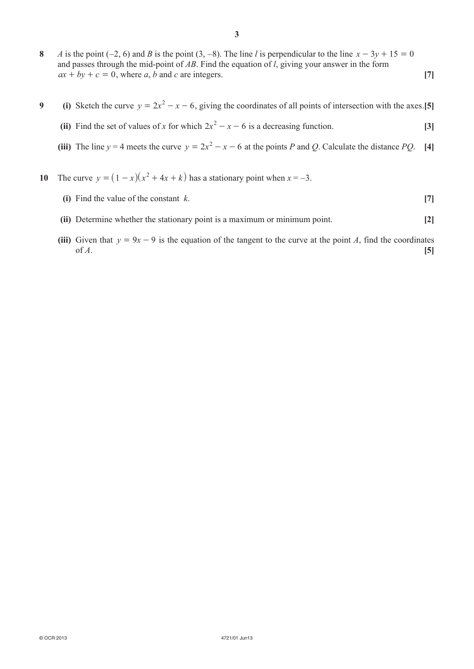- **8** *A* is the point (−2, 6) and *B* is the point (3, −8). The line *l* is perpendicular to the line  $x 3y + 15 = 0$ and passes through the mid-point of *AB*. Find the equation of *l*, giving your answer in the form  $ax + by + c = 0$ , where *a*, *b* and *c* are integers. [7]
- **9** (i) Sketch the curve  $y = 2x^2 x 6$ , giving the coordinates of all points of intersection with the axes. [5]
- **(ii)** Find the set of values of *x* for which  $2x^2 x 6$  is a decreasing function. **[3]**
- **(iii)** The line  $y = 4$  meets the curve  $y = 2x^2 x 6$  at the points *P* and *Q*. Calculate the distance *PQ*. [4]
- **10** The curve  $y = (1 x)(x^2 + 4x + k)$  has a stationary point when  $x = -3$ .
	- **(i)** Find the value of the constant  $k$ . **[7]**
	- **(ii)** Determine whether the stationary point is a maximum or minimum point. **[2]**
	- **(iii)** Given that  $y = 9x 9$  is the equation of the tangent to the curve at the point *A*, find the coordinates of  $A$ .  $[5]$